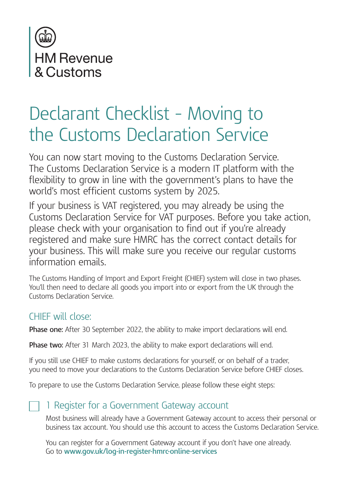

# Declarant Checklist – Moving to the Customs Declaration Service

You can now start moving to the Customs Declaration Service. The Customs Declaration Service is a modern IT platform with the flexibility to grow in line with the government's plans to have the world's most efficient customs system by 2025.

If your business is VAT registered, you may already be using the Customs Declaration Service for VAT purposes. Before you take action, please check with your organisation to find out if you're already registered and make sure HMRC has the correct contact details for your business. This will make sure you receive our regular customs information emails.

The Customs Handling of Import and Export Freight (CHIEF) system will close in two phases. You'll then need to declare all goods you import into or export from the UK through the Customs Declaration Service.

# CHIEF will close:

**Phase one:** After 30 September 2022, the ability to make import declarations will end.

**Phase two:** After 31 March 2023, the ability to make export declarations will end.

If you still use CHIEF to make customs declarations for yourself, or on behalf of a trader, you need to move your declarations to the Customs Declaration Service before CHIEF closes.

To prepare to use the Customs Declaration Service, please follow these eight steps:

# 1 Register for a Government Gateway account

Most business will already have a Government Gateway account to access their personal or business tax account. You should use this account to access the Customs Declaration Service.

You can register for a Government Gateway account if you don't have one already. Go to **www.gov.uk/log-in-register-hmrc-online-services**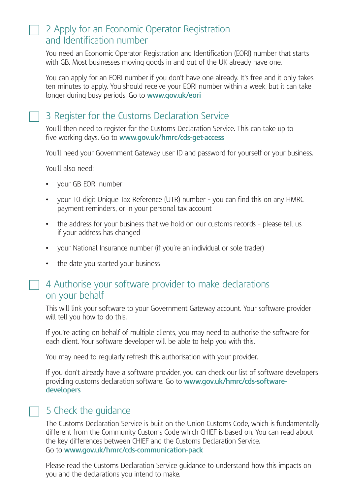### 2 Apply for an Economic Operator Registration and Identification number

You need an Economic Operator Registration and Identification (EORI) number that starts with GB. Most businesses moving goods in and out of the UK already have one.

You can apply for an EORI number if you don't have one already. It's free and it only takes ten minutes to apply. You should receive your EORI number within a week, but it can take longer during busy periods. Go to **www.gov.uk/eori**

# 3 Register for the Customs Declaration Service

You'll then need to register for the Customs Declaration Service. This can take up to five working days. Go to **www.gov.uk/hmrc/cds-get-access**

You'll need your Government Gateway user ID and password for yourself or your business.

You'll also need:

- **•** your GB EORI number
- **•** your 10-digit Unique Tax Reference (UTR) number you can find this on any HMRC payment reminders, or in your personal tax account
- **•** the address for your business that we hold on our customs records please tell us if your address has changed
- **•** your National Insurance number (if you're an individual or sole trader)
- **•** the date you started your business

#### 4 Authorise your software provider to make declarations on your behalf

This will link your software to your Government Gateway account. Your software provider will tell you how to do this.

If you're acting on behalf of multiple clients, you may need to authorise the software for each client. Your software developer will be able to help you with this.

You may need to regularly refresh this authorisation with your provider.

If you don't already have a software provider, you can check our list of software developers providing customs declaration software. Go to **www.gov.uk/hmrc/cds-softwaredevelopers**

# 5 Check the guidance

The Customs Declaration Service is built on the Union Customs Code, which is fundamentally different from the Community Customs Code which CHIEF is based on. You can read about the key differences between CHIEF and the Customs Declaration Service. Go to **www.gov.uk/hmrc/cds-communication-pack**

Please read the Customs Declaration Service guidance to understand how this impacts on you and the declarations you intend to make.